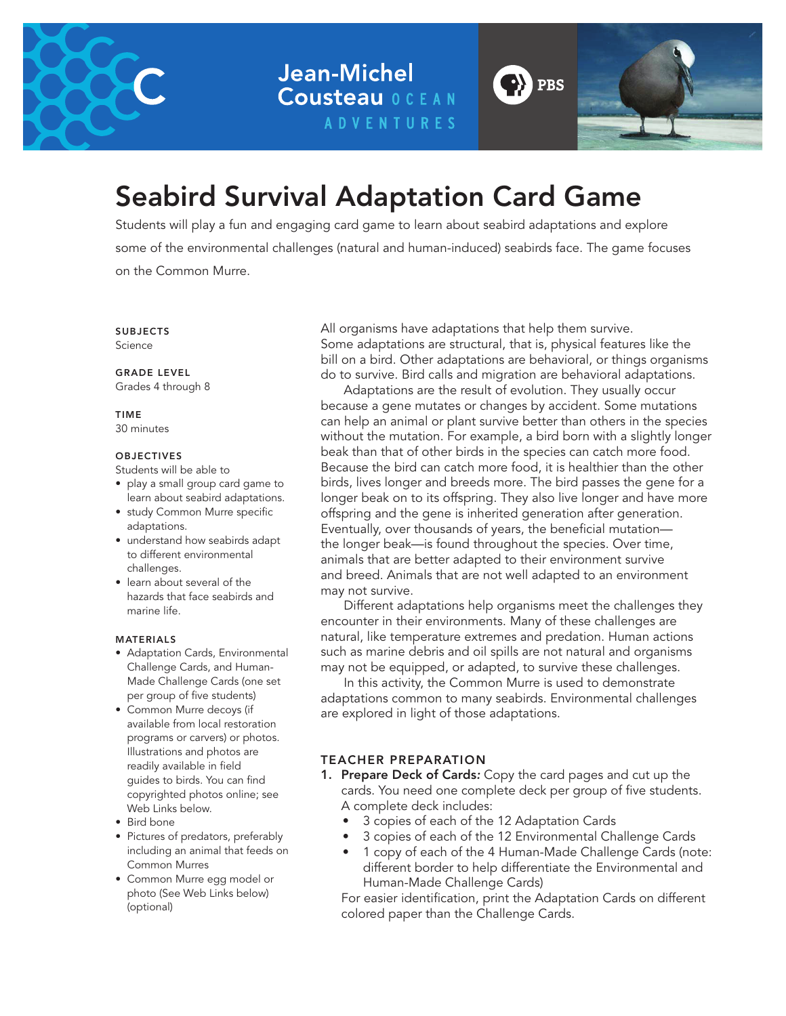

**Jean-Michel Cousteau OCEAN ADVENTURES** 



## Seabird Survival Adaptation Card Game

Students will play a fun and engaging card game to learn about seabird adaptations and explore some of the environmental challenges (natural and human-induced) seabirds face. The game focuses on the Common Murre.

SUBJECTS Science

GRADE LEVEL

Grades 4 through 8

TIME

30 minutes

#### **OBJECTIVES**

Students will be able to

- play a small group card game to learn about seabird adaptations.
- study Common Murre specific adaptations.
- understand how seabirds adapt to different environmental challenges.
- learn about several of the hazards that face seabirds and marine life.

#### MATERIALS

- Adaptation Cards, Environmental Challenge Cards, and Human-Made Challenge Cards (one set per group of five students)
- Common Murre decoys (if available from local restoration programs or carvers) or photos. Illustrations and photos are readily available in field guides to birds. You can find copyrighted photos online; see Web Links below.
- Bird bone
- Pictures of predators, preferably including an animal that feeds on Common Murres
- Common Murre egg model or photo (See Web Links below) (optional)

All organisms have adaptations that help them survive. Some adaptations are structural, that is, physical features like the bill on a bird. Other adaptations are behavioral, or things organisms do to survive. Bird calls and migration are behavioral adaptations.

Adaptations are the result of evolution. They usually occur because a gene mutates or changes by accident. Some mutations can help an animal or plant survive better than others in the species without the mutation. For example, a bird born with a slightly longer beak than that of other birds in the species can catch more food. Because the bird can catch more food, it is healthier than the other birds, lives longer and breeds more. The bird passes the gene for a longer beak on to its offspring. They also live longer and have more offspring and the gene is inherited generation after generation. Eventually, over thousands of years, the beneficial mutation the longer beak—is found throughout the species. Over time, animals that are better adapted to their environment survive and breed. Animals that are not well adapted to an environment may not survive.

Different adaptations help organisms meet the challenges they encounter in their environments. Many of these challenges are natural, like temperature extremes and predation. Human actions such as marine debris and oil spills are not natural and organisms may not be equipped, or adapted, to survive these challenges.

In this activity, the Common Murre is used to demonstrate adaptations common to many seabirds. Environmental challenges are explored in light of those adaptations.

#### TEACHER PREPARATION

- 1. Prepare Deck of Cards*:* Copy the card pages and cut up the cards. You need one complete deck per group of five students. A complete deck includes:
	- 3 copies of each of the 12 Adaptation Cards
	- 3 copies of each of the 12 Environmental Challenge Cards
	- 1 copy of each of the 4 Human-Made Challenge Cards (note: different border to help differentiate the Environmental and Human-Made Challenge Cards)

For easier identification, print the Adaptation Cards on different colored paper than the Challenge Cards.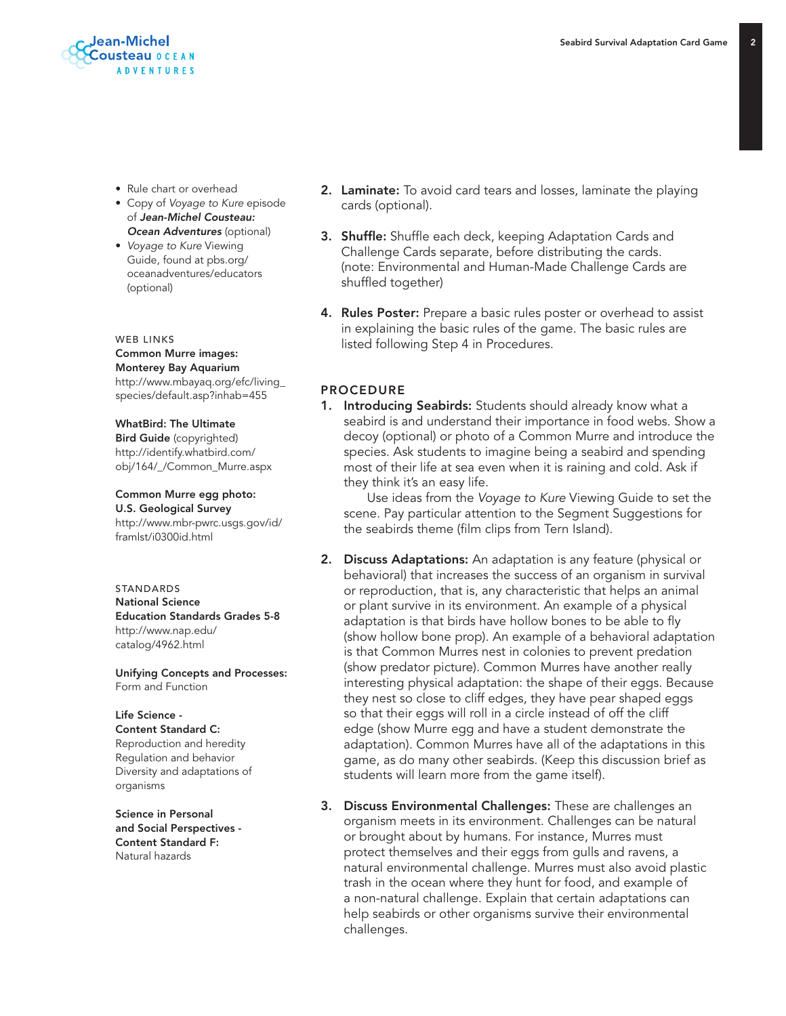- Rule chart or overhead
- Copy of *Voyage to Kure* episode of *Jean-Michel Cousteau:*  **Ocean Adventures** (optional)
- *Voyage to Kure* Viewing Guide, found at pbs.org/ oceanadventures/educators (optional)

WEB LINKS Common Murre images: Monterey Bay Aquarium http://www.mbayaq.org/efc/living\_ species/default.asp?inhab=455

WhatBird: The Ultimate Bird Guide (copyrighted) http://identify.whatbird.com/ obj/164/\_/Common\_Murre.aspx

Common Murre egg photo: U.S. Geological Survey http://www.mbr-pwrc.usgs.gov/id/ framlst/i0300id.html

STANDARDS National Science Education Standards Grades 5-8 http://www.nap.edu/ catalog/4962.html

Unifying Concepts and Processes: Form and Function

Life Science - Content Standard C: Reproduction and heredity Regulation and behavior Diversity and adaptations of

Science in Personal and Social Perspectives - Content Standard F: Natural hazards

organisms

- 2. Laminate: To avoid card tears and losses, laminate the playing cards (optional).
- 3. Shuffle: Shuffle each deck, keeping Adaptation Cards and Challenge Cards separate, before distributing the cards. (note: Environmental and Human-Made Challenge Cards are shuffled together)
- 4. Rules Poster: Prepare a basic rules poster or overhead to assist in explaining the basic rules of the game. The basic rules are listed following Step 4 in Procedures.

#### PROCEDURE

1. Introducing Seabirds: Students should already know what a seabird is and understand their importance in food webs. Show a decoy (optional) or photo of a Common Murre and introduce the species. Ask students to imagine being a seabird and spending most of their life at sea even when it is raining and cold. Ask if they think it's an easy life.

 Use ideas from the *Voyage to Kure* Viewing Guide to set the scene. Pay particular attention to the Segment Suggestions for the seabirds theme (film clips from Tern Island).

- 2. Discuss Adaptations: An adaptation is any feature (physical or behavioral) that increases the success of an organism in survival or reproduction, that is, any characteristic that helps an animal or plant survive in its environment. An example of a physical adaptation is that birds have hollow bones to be able to fly (show hollow bone prop). An example of a behavioral adaptation is that Common Murres nest in colonies to prevent predation (show predator picture). Common Murres have another really interesting physical adaptation: the shape of their eggs. Because they nest so close to cliff edges, they have pear shaped eggs so that their eggs will roll in a circle instead of off the cliff edge (show Murre egg and have a student demonstrate the adaptation). Common Murres have all of the adaptations in this game, as do many other seabirds. (Keep this discussion brief as students will learn more from the game itself).
- 3. Discuss Environmental Challenges: These are challenges an organism meets in its environment. Challenges can be natural or brought about by humans. For instance, Murres must protect themselves and their eggs from gulls and ravens, a natural environmental challenge. Murres must also avoid plastic trash in the ocean where they hunt for food, and example of a non-natural challenge. Explain that certain adaptations can help seabirds or other organisms survive their environmental challenges.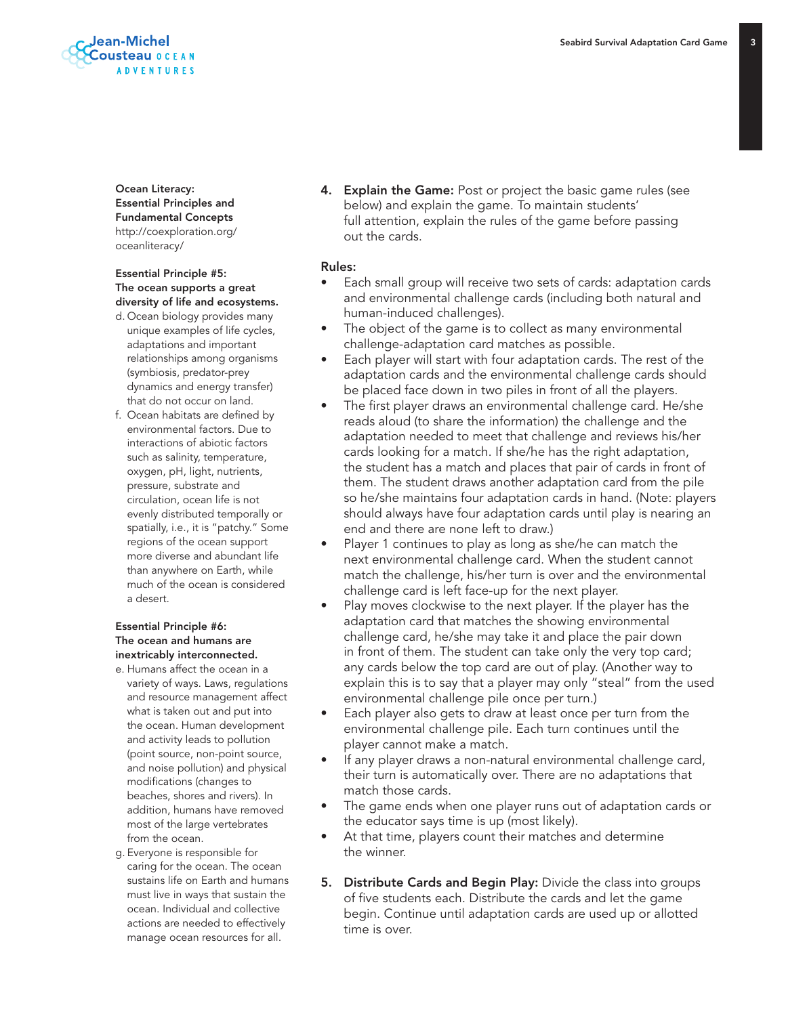

Ocean Literacy: Essential Principles and Fundamental Concepts http://coexploration.org/ oceanliteracy/

#### Essential Principle #5: The ocean supports a great diversity of life and ecosystems.

- d. Ocean biology provides many unique examples of life cycles, adaptations and important relationships among organisms (symbiosis, predator-prey dynamics and energy transfer) that do not occur on land.
- f. Ocean habitats are defined by environmental factors. Due to interactions of abiotic factors such as salinity, temperature, oxygen, pH, light, nutrients, pressure, substrate and circulation, ocean life is not evenly distributed temporally or spatially, i.e., it is "patchy." Some regions of the ocean support more diverse and abundant life than anywhere on Earth, while much of the ocean is considered a desert.

#### Essential Principle #6: The ocean and humans are inextricably interconnected.

- e. Humans affect the ocean in a variety of ways. Laws, regulations and resource management affect what is taken out and put into the ocean. Human development and activity leads to pollution (point source, non-point source, and noise pollution) and physical modifications (changes to beaches, shores and rivers). In addition, humans have removed most of the large vertebrates from the ocean.
- g. Everyone is responsible for caring for the ocean. The ocean sustains life on Earth and humans must live in ways that sustain the ocean. Individual and collective actions are needed to effectively manage ocean resources for all.

4. Explain the Game: Post or project the basic game rules (see below) and explain the game. To maintain students' full attention, explain the rules of the game before passing out the cards.

#### Rules:

- Each small group will receive two sets of cards: adaptation cards and environmental challenge cards (including both natural and human-induced challenges).
- The object of the game is to collect as many environmental challenge-adaptation card matches as possible.
- Each player will start with four adaptation cards. The rest of the adaptation cards and the environmental challenge cards should be placed face down in two piles in front of all the players.
- The first player draws an environmental challenge card. He/she reads aloud (to share the information) the challenge and the adaptation needed to meet that challenge and reviews his/her cards looking for a match. If she/he has the right adaptation, the student has a match and places that pair of cards in front of them. The student draws another adaptation card from the pile so he/she maintains four adaptation cards in hand. (Note: players should always have four adaptation cards until play is nearing an end and there are none left to draw.)
- Player 1 continues to play as long as she/he can match the next environmental challenge card. When the student cannot match the challenge, his/her turn is over and the environmental challenge card is left face-up for the next player.
- Play moves clockwise to the next player. If the player has the adaptation card that matches the showing environmental challenge card, he/she may take it and place the pair down in front of them. The student can take only the very top card; any cards below the top card are out of play. (Another way to explain this is to say that a player may only "steal" from the used environmental challenge pile once per turn.)
- Each player also gets to draw at least once per turn from the environmental challenge pile. Each turn continues until the player cannot make a match.
- If any player draws a non-natural environmental challenge card, their turn is automatically over. There are no adaptations that match those cards.
- The game ends when one player runs out of adaptation cards or the educator says time is up (most likely).
- At that time, players count their matches and determine the winner.
- 5. Distribute Cards and Begin Play: Divide the class into groups of five students each. Distribute the cards and let the game begin. Continue until adaptation cards are used up or allotted time is over.

 $\mathbf{R}$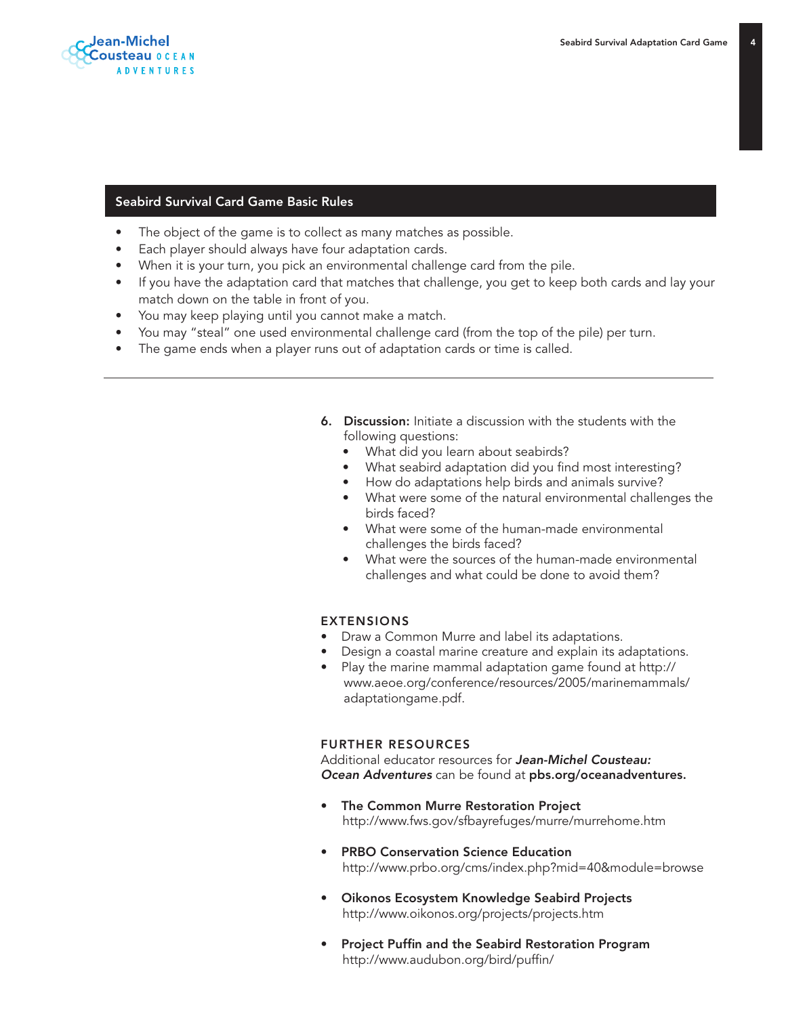

#### Seabird Survival Card Game Basic Rules

- The object of the game is to collect as many matches as possible.
- Each player should always have four adaptation cards.
- When it is your turn, you pick an environmental challenge card from the pile.
- If you have the adaptation card that matches that challenge, you get to keep both cards and lay your match down on the table in front of you.
- You may keep playing until you cannot make a match.
- You may "steal" one used environmental challenge card (from the top of the pile) per turn.
- The game ends when a player runs out of adaptation cards or time is called.
	- 6. Discussion: Initiate a discussion with the students with the following questions:
		- What did you learn about seabirds?
		- What seabird adaptation did you find most interesting?
		- How do adaptations help birds and animals survive?
		- What were some of the natural environmental challenges the birds faced?
		- What were some of the human-made environmental challenges the birds faced?
		- What were the sources of the human-made environmental challenges and what could be done to avoid them?

#### EXTENSIONS

- Draw a Common Murre and label its adaptations.
- Design a coastal marine creature and explain its adaptations.
- Play the marine mammal adaptation game found at http:// www.aeoe.org/conference/resources/2005/marinemammals/ adaptationgame.pdf.

#### FURTHER RESOURCES

Additional educator resources for *Jean-Michel Cousteau: Ocean Adventures* can be found at pbs.org/oceanadventures.

- The Common Murre Restoration Project http://www.fws.gov/sfbayrefuges/murre/murrehome.htm
- PRBO Conservation Science Education http://www.prbo.org/cms/index.php?mid=40&module=browse
- Oikonos Ecosystem Knowledge Seabird Projects http://www.oikonos.org/projects/projects.htm
- Project Puffin and the Seabird Restoration Program http://www.audubon.org/bird/puffin/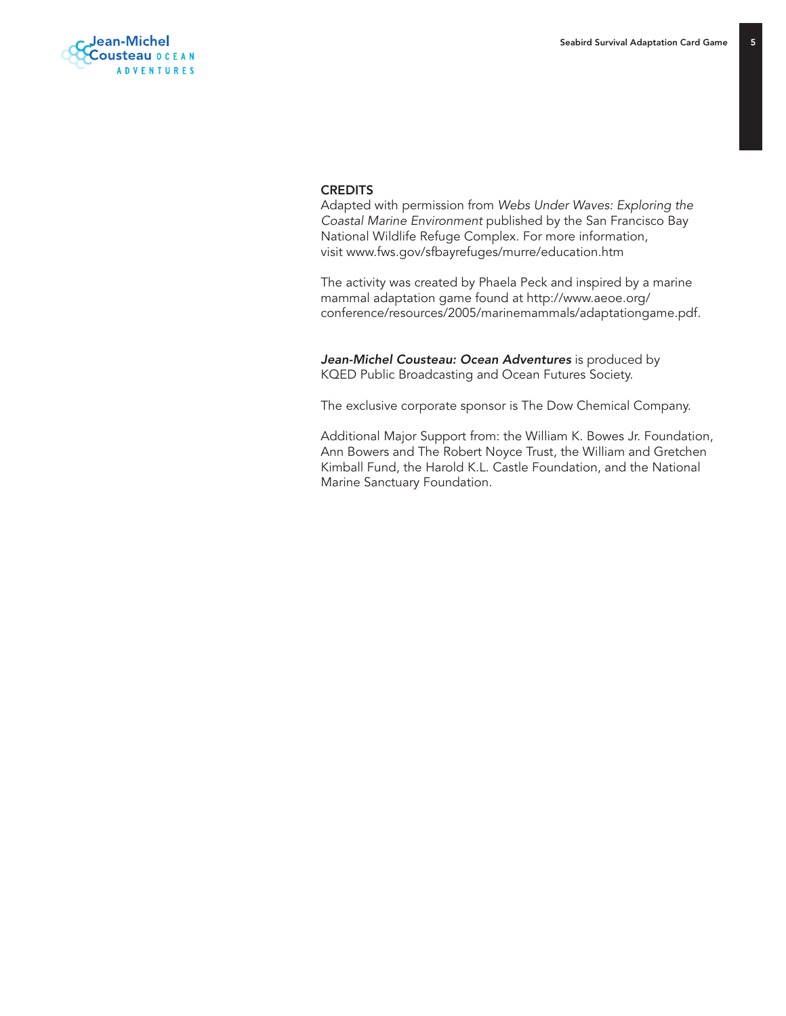$\overline{5}$ 

#### **CREDITS**

Adapted with permission from *Webs Under Waves: Exploring the Coastal Marine Environment* published by the San Francisco Bay National Wildlife Refuge Complex. For more information, visit www.fws.gov/sfbayrefuges/murre/education.htm

The activity was created by Phaela Peck and inspired by a marine mammal adaptation game found at http://www.aeoe.org/ conference/resources/2005/marinemammals/adaptationgame.pdf.

*Jean-Michel Cousteau: Ocean Adventures* is produced by KQED Public Broadcasting and Ocean Futures Society.

The exclusive corporate sponsor is The Dow Chemical Company.

Additional Major Support from: the William K. Bowes Jr. Foundation, Ann Bowers and The Robert Noyce Trust, the William and Gretchen Kimball Fund, the Harold K.L. Castle Foundation, and the National Marine Sanctuary Foundation.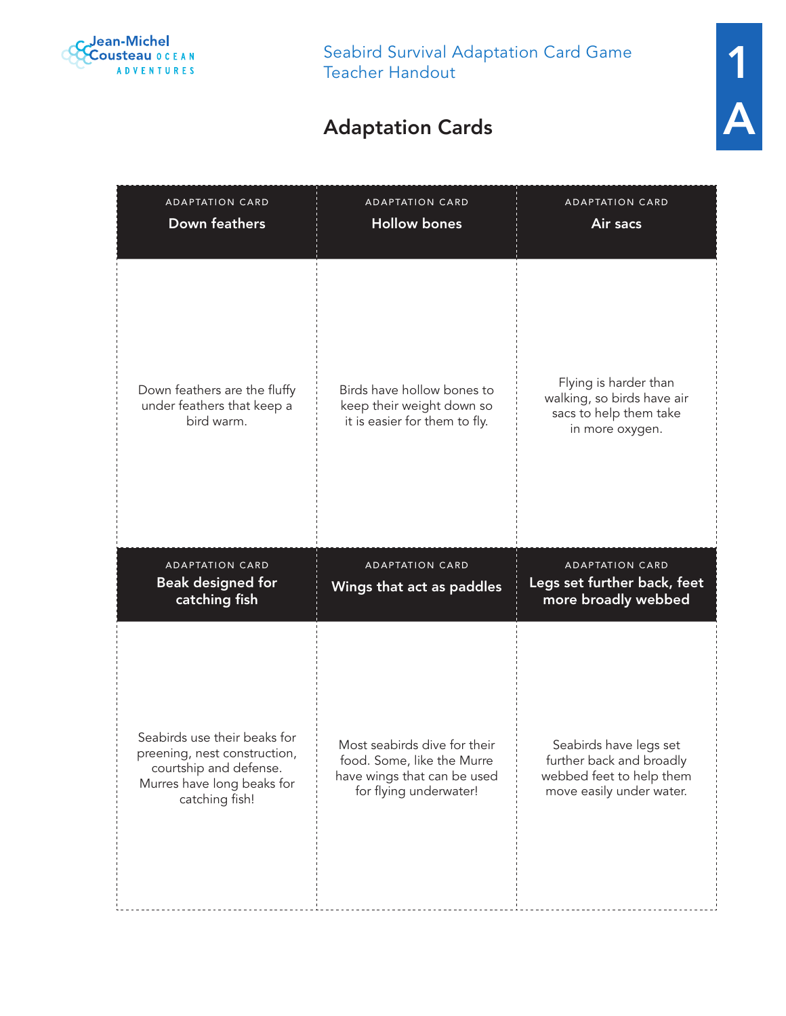

## Adaptation Cards

| <b>ADAPTATION CARD</b><br><b>Down feathers</b>                                                                                         | <b>ADAPTATION CARD</b><br><b>Hollow bones</b>                                                                       | <b>ADAPTATION CARD</b><br>Air sacs                                                                         |
|----------------------------------------------------------------------------------------------------------------------------------------|---------------------------------------------------------------------------------------------------------------------|------------------------------------------------------------------------------------------------------------|
| Down feathers are the fluffy<br>under feathers that keep a<br>bird warm.                                                               | Birds have hollow bones to<br>keep their weight down so<br>it is easier for them to fly.                            | Flying is harder than<br>walking, so birds have air<br>sacs to help them take<br>in more oxygen.           |
| <b>ADAPTATION CARD</b><br><b>Beak designed for</b><br>catching fish                                                                    | <b>ADAPTATION CARD</b><br>Wings that act as paddles                                                                 | <b>ADAPTATION CARD</b><br>Legs set further back, feet<br>more broadly webbed                               |
| Seabirds use their beaks for<br>preening, nest construction,<br>courtship and defense.<br>Murres have long beaks for<br>catching fish! | Most seabirds dive for their<br>food. Some, like the Murre<br>have wings that can be used<br>for flying underwater! | Seabirds have legs set<br>further back and broadly<br>webbed feet to help them<br>move easily under water. |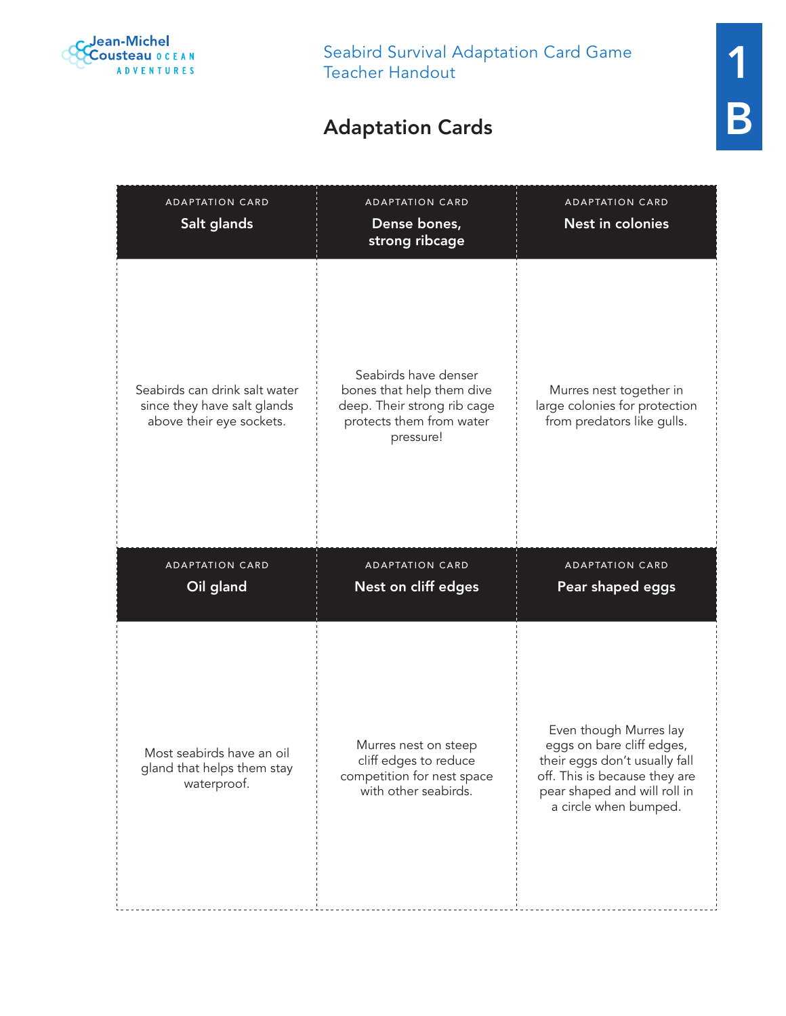

### Adaptation Cards

| <b>ADAPTATION CARD</b><br>Salt glands                                                    | <b>ADAPTATION CARD</b><br>Dense bones,<br>strong ribcage                                                                  | <b>ADAPTATION CARD</b><br>Nest in colonies                                             |
|------------------------------------------------------------------------------------------|---------------------------------------------------------------------------------------------------------------------------|----------------------------------------------------------------------------------------|
| Seabirds can drink salt water<br>since they have salt glands<br>above their eye sockets. | Seabirds have denser<br>bones that help them dive<br>deep. Their strong rib cage<br>protects them from water<br>pressure! | Murres nest together in<br>large colonies for protection<br>from predators like gulls. |
| <b>ADAPTATION CARD</b><br>Oil gland                                                      | <b>ADAPTATION CARD</b><br>Nest on cliff edges                                                                             | <b>ADAPTATION CARD</b><br>Pear shaped eggs                                             |
|                                                                                          |                                                                                                                           | Even though Murres lay                                                                 |

Most seabirds have an oil gland that helps them stay waterproof.

Murres nest on steep cliff edges to reduce competition for nest space with other seabirds.

eggs on bare cliff edges, their eggs don't usually fall off. This is because they are pear shaped and will roll in a circle when bumped.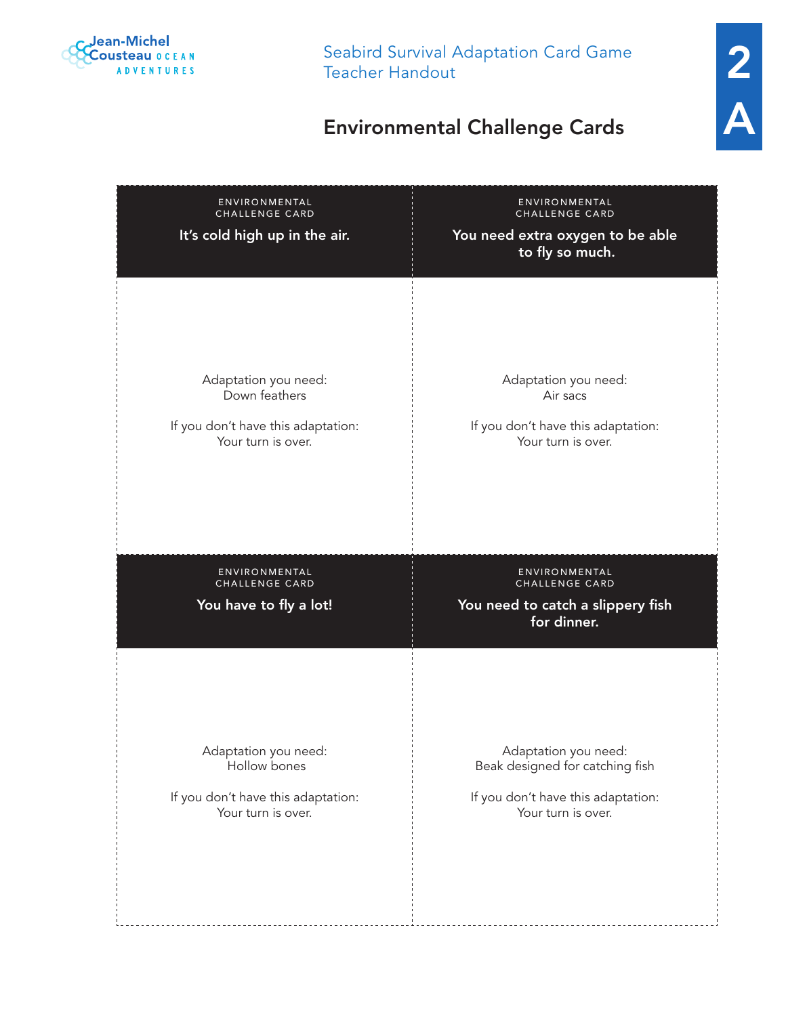

# 2 A

## Environmental Challenge Cards

| ENVIRONMENTAL<br>CHALLENGE CARD<br>It's cold high up in the air.                                  | ENVIRONMENTAL<br>CHALLENGE CARD<br>You need extra oxygen to be able<br>to fly so much.       |
|---------------------------------------------------------------------------------------------------|----------------------------------------------------------------------------------------------|
| Adaptation you need:<br>Down feathers<br>If you don't have this adaptation:<br>Your turn is over. | Adaptation you need:<br>Air sacs<br>If you don't have this adaptation:<br>Your turn is over. |
| ENVIRONMENTAL<br>CHALLENGE CARD<br>You have to fly a lot!                                         | ENVIRONMENTAL<br>CHALLENGE CARD<br>You need to catch a slippery fish<br>for dinner.          |
|                                                                                                   |                                                                                              |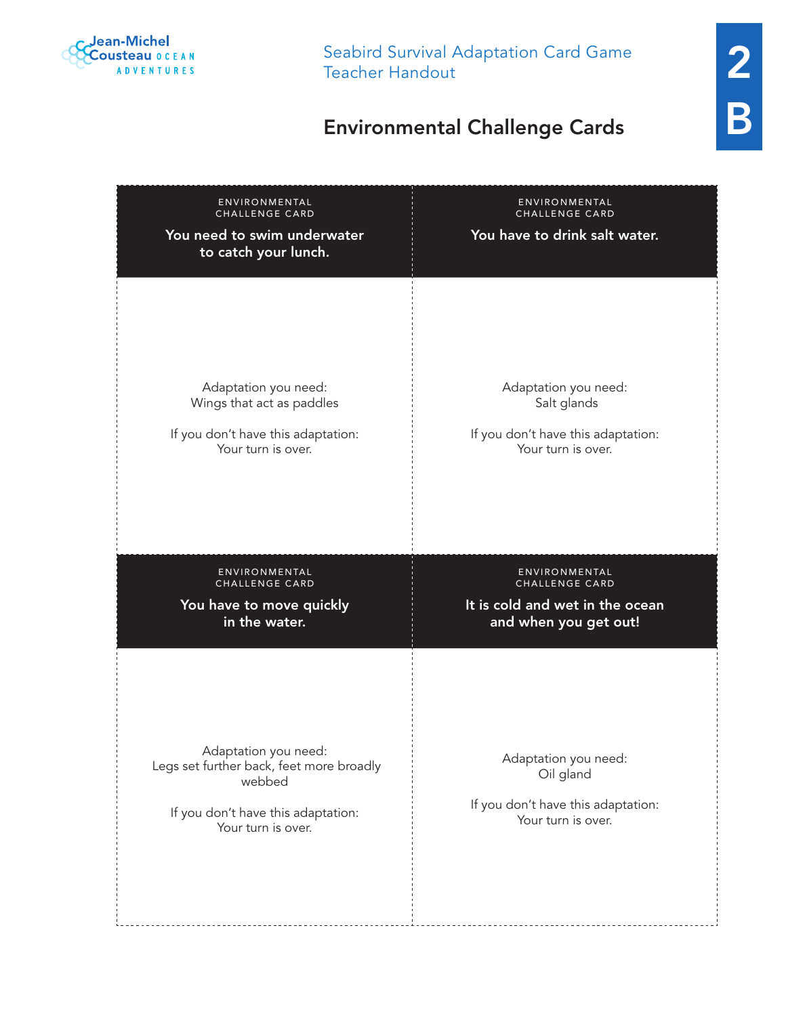

## Environmental Challenge Cards

| ENVIRONMENTAL<br>CHALLENGE CARD<br>You need to swim underwater<br>to catch your lunch.                                                 | ENVIRONMENTAL<br>CHALLENGE CARD<br>You have to drink salt water.                              |
|----------------------------------------------------------------------------------------------------------------------------------------|-----------------------------------------------------------------------------------------------|
| Adaptation you need:                                                                                                                   | Adaptation you need:                                                                          |
| Wings that act as paddles                                                                                                              | Salt glands                                                                                   |
| If you don't have this adaptation:                                                                                                     | If you don't have this adaptation:                                                            |
| Your turn is over.                                                                                                                     | Your turn is over.                                                                            |
| ENVIRONMENTAL                                                                                                                          | ENVIRONMENTAL                                                                                 |
| CHALLENGE CARD                                                                                                                         | CHALLENGE CARD                                                                                |
| You have to move quickly                                                                                                               | It is cold and wet in the ocean                                                               |
| in the water.                                                                                                                          | and when you get out!                                                                         |
| Adaptation you need:<br>Legs set further back, feet more broadly<br>webbed<br>If you don't have this adaptation:<br>Your turn is over. | Adaptation you need:<br>Oil gland<br>If you don't have this adaptation:<br>Your turn is over. |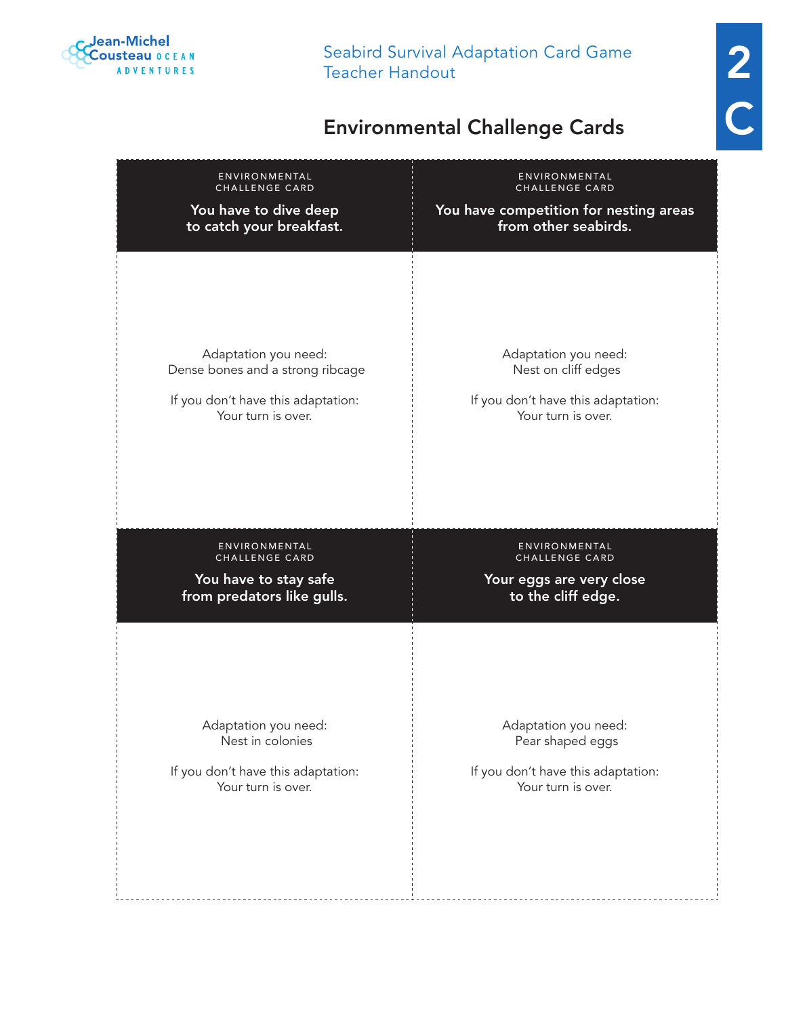

2 C

## Environmental Challenge Cards

| ENVIRONMENTAL                                                         | ENVIRONMENTAL                                                                     |
|-----------------------------------------------------------------------|-----------------------------------------------------------------------------------|
| CHALLENGE CARD                                                        | CHALLENGE CARD                                                                    |
| You have to dive deep                                                 | You have competition for nesting areas                                            |
| to catch your breakfast.                                              | from other seabirds.                                                              |
| Adaptation you need:                                                  | Adaptation you need:                                                              |
| Dense bones and a strong ribcage                                      | Nest on cliff edges                                                               |
| If you don't have this adaptation:                                    | If you don't have this adaptation:                                                |
| Your turn is over.                                                    | Your turn is over.                                                                |
| ENVIRONMENTAL                                                         |                                                                                   |
| CHALLENGE CARD<br>You have to stay safe<br>from predators like gulls. | ENVIRONMENTAL<br>CHALLENGE CARD<br>Your eggs are very close<br>to the cliff edge. |